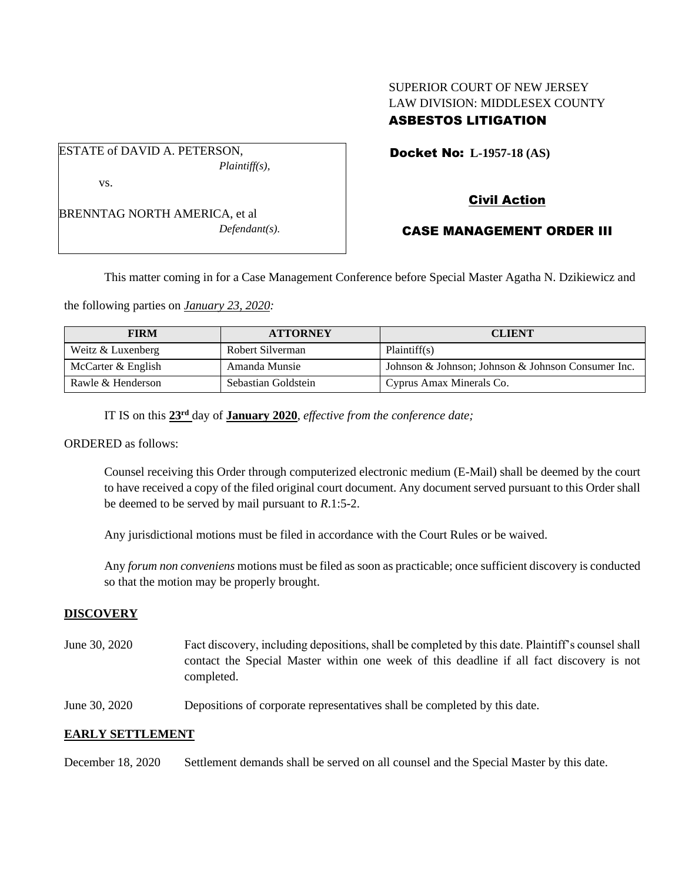## SUPERIOR COURT OF NEW JERSEY LAW DIVISION: MIDDLESEX COUNTY ASBESTOS LITIGATION

ESTATE of DAVID A. PETERSON, *Plaintiff(s),* vs.

BRENNTAG NORTH AMERICA, et al *Defendant(s).* Docket No: **L-1957-18 (AS)** 

# Civil Action

## CASE MANAGEMENT ORDER III

This matter coming in for a Case Management Conference before Special Master Agatha N. Dzikiewicz and

the following parties on *January 23, 2020:*

| <b>FIRM</b>        | <b>ATTORNEY</b>     | <b>CLIENT</b>                                      |
|--------------------|---------------------|----------------------------------------------------|
| Weitz & Luxenberg  | Robert Silverman    | Plaintiff(s)                                       |
| McCarter & English | Amanda Munsie       | Johnson & Johnson; Johnson & Johnson Consumer Inc. |
| Rawle & Henderson  | Sebastian Goldstein | Cyprus Amax Minerals Co.                           |

IT IS on this  $23<sup>rd</sup>$  day of **January 2020**, *effective from the conference date*;

ORDERED as follows:

Counsel receiving this Order through computerized electronic medium (E-Mail) shall be deemed by the court to have received a copy of the filed original court document. Any document served pursuant to this Order shall be deemed to be served by mail pursuant to *R*.1:5-2.

Any jurisdictional motions must be filed in accordance with the Court Rules or be waived.

Any *forum non conveniens* motions must be filed as soon as practicable; once sufficient discovery is conducted so that the motion may be properly brought.

#### **DISCOVERY**

- June 30, 2020 Fact discovery, including depositions, shall be completed by this date. Plaintiff's counsel shall contact the Special Master within one week of this deadline if all fact discovery is not completed.
- June 30, 2020 Depositions of corporate representatives shall be completed by this date.

### **EARLY SETTLEMENT**

December 18, 2020 Settlement demands shall be served on all counsel and the Special Master by this date.